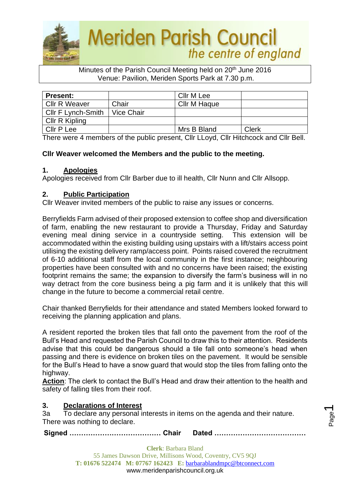

#### Minutes of the Parish Council Meeting held on 20<sup>th</sup> June 2016 Venue: Pavilion, Meriden Sports Park at 7.30 p.m.

| <b>Present:</b>      |                   | Cllr M Lee          |       |
|----------------------|-------------------|---------------------|-------|
| <b>Cllr R Weaver</b> | Chair             | <b>Cllr M Haque</b> |       |
| Cllr F Lynch-Smith   | <b>Vice Chair</b> |                     |       |
| Cllr R Kipling       |                   |                     |       |
| <b>Cllr P Lee</b>    |                   | Mrs B Bland         | Clerk |

There were 4 members of the public present, Cllr LLoyd, Cllr Hitchcock and Cllr Bell.

# **Cllr Weaver welcomed the Members and the public to the meeting.**

### **1. Apologies**

Apologies received from Cllr Barber due to ill health, Cllr Nunn and Cllr Allsopp.

## **2. Public Participation**

Cllr Weaver invited members of the public to raise any issues or concerns.

Berryfields Farm advised of their proposed extension to coffee shop and diversification of farm, enabling the new restaurant to provide a Thursday, Friday and Saturday evening meal dining service in a countryside setting. This extension will be accommodated within the existing building using upstairs with a lift/stairs access point utilising the existing delivery ramp/access point. Points raised covered the recruitment of 6-10 additional staff from the local community in the first instance; neighbouring properties have been consulted with and no concerns have been raised; the existing footprint remains the same; the expansion to diversify the farm's business will in no way detract from the core business being a pig farm and it is unlikely that this will change in the future to become a commercial retail centre.

Chair thanked Berryfields for their attendance and stated Members looked forward to receiving the planning application and plans.

A resident reported the broken tiles that fall onto the pavement from the roof of the Bull's Head and requested the Parish Council to draw this to their attention. Residents advise that this could be dangerous should a tile fall onto someone's head when passing and there is evidence on broken tiles on the pavement. It would be sensible for the Bull's Head to have a snow guard that would stop the tiles from falling onto the highway.

**Action**: The clerk to contact the Bull's Head and draw their attention to the health and safety of falling tiles from their roof.

# **3. Declarations of Interest**

3a To declare any personal interests in items on the agenda and their nature. There was nothing to declare.

**Signed ………………………………… Chair Dated …………………………………**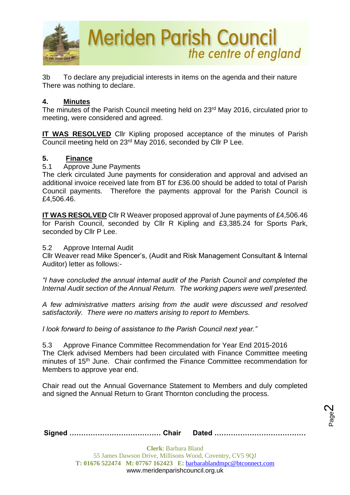

3b To declare any prejudicial interests in items on the agenda and their nature There was nothing to declare.

### **4. Minutes**

The minutes of the Parish Council meeting held on 23rd May 2016, circulated prior to meeting, were considered and agreed.

**IT WAS RESOLVED** Cllr Kipling proposed acceptance of the minutes of Parish Council meeting held on 23rd May 2016, seconded by Cllr P Lee.

#### **5. Finance**

5.1 Approve June Payments

The clerk circulated June payments for consideration and approval and advised an additional invoice received late from BT for £36.00 should be added to total of Parish Council payments. Therefore the payments approval for the Parish Council is £4,506.46.

**IT WAS RESOLVED** Cllr R Weaver proposed approval of June payments of £4,506.46 for Parish Council, seconded by Cllr R Kipling and £3,385.24 for Sports Park, seconded by Cllr P Lee.

5.2 Approve Internal Audit

Cllr Weaver read Mike Spencer's, (Audit and Risk Management Consultant & Internal Auditor) letter as follows:-

*"I have concluded the annual internal audit of the Parish Council and completed the Internal Audit section of the Annual Return. The working papers were well presented.*

*A few administrative matters arising from the audit were discussed and resolved satisfactorily. There were no matters arising to report to Members.*

*I look forward to being of assistance to the Parish Council next year."*

5.3 Approve Finance Committee Recommendation for Year End 2015-2016 The Clerk advised Members had been circulated with Finance Committee meeting minutes of 15<sup>th</sup> June. Chair confirmed the Finance Committee recommendation for Members to approve year end.

Chair read out the Annual Governance Statement to Members and duly completed and signed the Annual Return to Grant Thornton concluding the process.

> Page  $\boldsymbol{\sim}$

**Signed ………………………………… Chair Dated …………………………………**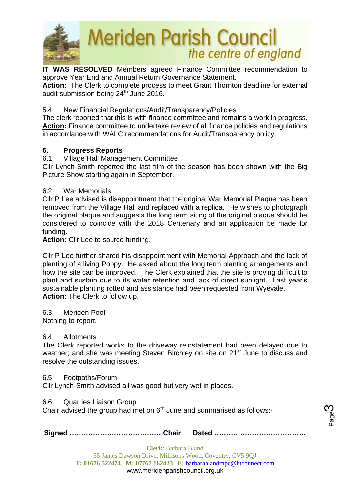

**IT WAS RESOLVED** Members agreed Finance Committee recommendation to approve Year End and Annual Return Governance Statement.

**Action:** The Clerk to complete process to meet Grant Thornton deadline for external audit submission being  $24<sup>th</sup>$  June 2016.

# 5.4 New Financial Regulations/Audit/Transparency/Policies

The clerk reported that this is with finance committee and remains a work in progress. **Action:** Finance committee to undertake review of all finance policies and regulations in accordance with WALC recommendations for Audit/Transparency policy.

## **6. Progress Reports**

## 6.1 Village Hall Management Committee

Cllr Lynch-Smith reported the last film of the season has been shown with the Big Picture Show starting again in September.

### 6.2 War Memorials

Cllr P Lee advised is disappointment that the original War Memorial Plaque has been removed from the Village Hall and replaced with a replica. He wishes to photograph the original plaque and suggests the long term siting of the original plaque should be considered to coincide with the 2018 Centenary and an application be made for funding.

**Action:** Cllr Lee to source funding.

Cllr P Lee further shared his disappointment with Memorial Approach and the lack of planting of a living Poppy. He asked about the long term planting arrangements and how the site can be improved. The Clerk explained that the site is proving difficult to plant and sustain due to its water retention and lack of direct sunlight. Last year's sustainable planting rotted and assistance had been requested from Wyevale. **Action:** The Clerk to follow up.

6.3 Meriden Pool

Nothing to report.

### 6.4 Allotments

The Clerk reported works to the driveway reinstatement had been delayed due to weather; and she was meeting Steven Birchley on site on 21<sup>st</sup> June to discuss and resolve the outstanding issues.

### 6.5 Footpaths/Forum

Cllr Lynch-Smith advised all was good but very wet in places.

6.6 Quarries Liaison Group

Chair advised the group had met on  $6<sup>th</sup>$  June and summarised as follows:-

**Signed ………………………………… Chair Dated …………………………………**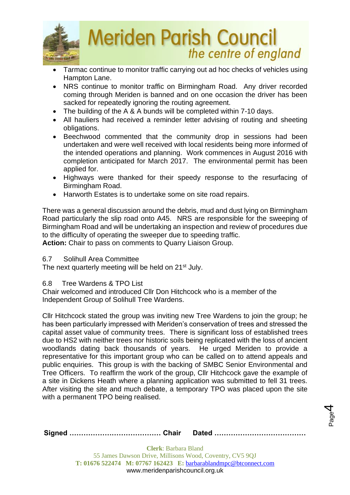

- Tarmac continue to monitor traffic carrying out ad hoc checks of vehicles using Hampton Lane.
- NRS continue to monitor traffic on Birmingham Road. Any driver recorded coming through Meriden is banned and on one occasion the driver has been sacked for repeatedly ignoring the routing agreement.
- The building of the A & A bunds will be completed within 7-10 days.
- All hauliers had received a reminder letter advising of routing and sheeting obligations.
- Beechwood commented that the community drop in sessions had been undertaken and were well received with local residents being more informed of the intended operations and planning. Work commences in August 2016 with completion anticipated for March 2017. The environmental permit has been applied for.
- Highways were thanked for their speedy response to the resurfacing of Birmingham Road.
- Harworth Estates is to undertake some on site road repairs.

There was a general discussion around the debris, mud and dust lying on Birmingham Road particularly the slip road onto A45. NRS are responsible for the sweeping of Birmingham Road and will be undertaking an inspection and review of procedures due to the difficulty of operating the sweeper due to speeding traffic.

**Action:** Chair to pass on comments to Quarry Liaison Group.

### 6.7 Solihull Area Committee

The next quarterly meeting will be held on 21<sup>st</sup> July.

### 6.8 Tree Wardens & TPO List

Chair welcomed and introduced Cllr Don Hitchcock who is a member of the Independent Group of Solihull Tree Wardens.

Cllr Hitchcock stated the group was inviting new Tree Wardens to join the group; he has been particularly impressed with Meriden's conservation of trees and stressed the capital asset value of community trees. There is significant loss of established trees due to HS2 with neither trees nor historic soils being replicated with the loss of ancient woodlands dating back thousands of years. He urged Meriden to provide a representative for this important group who can be called on to attend appeals and public enquiries. This group is with the backing of SMBC Senior Environmental and Tree Officers. To reaffirm the work of the group, Cllr Hitchcock gave the example of a site in Dickens Heath where a planning application was submitted to fell 31 trees. After visiting the site and much debate, a temporary TPO was placed upon the site with a permanent TPO being realised.

> Page 4

|--|--|--|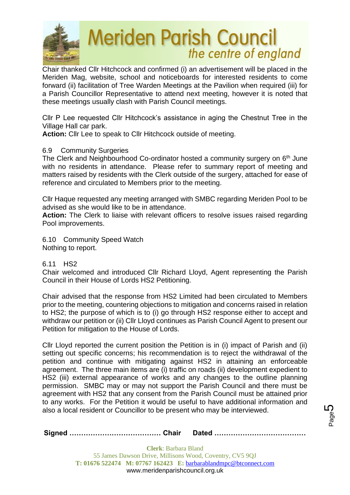

Chair thanked Cllr Hitchcock and confirmed (i) an advertisement will be placed in the Meriden Mag, website, school and noticeboards for interested residents to come forward (ii) facilitation of Tree Warden Meetings at the Pavilion when required (iii) for a Parish Councillor Representative to attend next meeting, however it is noted that these meetings usually clash with Parish Council meetings.

Cllr P Lee requested Cllr Hitchcock's assistance in aging the Chestnut Tree in the Village Hall car park.

**Action:** Cllr Lee to speak to Cllr Hitchcock outside of meeting.

### 6.9 Community Surgeries

The Clerk and Neighbourhood Co-ordinator hosted a community surgery on 6<sup>th</sup> June with no residents in attendance. Please refer to summary report of meeting and matters raised by residents with the Clerk outside of the surgery, attached for ease of reference and circulated to Members prior to the meeting.

Cllr Haque requested any meeting arranged with SMBC regarding Meriden Pool to be advised as she would like to be in attendance.

**Action:** The Clerk to liaise with relevant officers to resolve issues raised regarding Pool improvements.

6.10 Community Speed Watch Nothing to report.

### 6.11 HS2

Chair welcomed and introduced Cllr Richard Lloyd, Agent representing the Parish Council in their House of Lords HS2 Petitioning.

Chair advised that the response from HS2 Limited had been circulated to Members prior to the meeting, countering objections to mitigation and concerns raised in relation to HS2; the purpose of which is to (i) go through HS2 response either to accept and withdraw our petition or (ii) Cllr Lloyd continues as Parish Council Agent to present our Petition for mitigation to the House of Lords.

Cllr Lloyd reported the current position the Petition is in (i) impact of Parish and (ii) setting out specific concerns; his recommendation is to reject the withdrawal of the petition and continue with mitigating against HS2 in attaining an enforceable agreement. The three main items are (i) traffic on roads (ii) development expedient to HS2 (iii) external appearance of works and any changes to the outline planning permission. SMBC may or may not support the Parish Council and there must be agreement with HS2 that any consent from the Parish Council must be attained prior to any works. For the Petition it would be useful to have additional information and also a local resident or Councillor to be present who may be interviewed.

|--|--|--|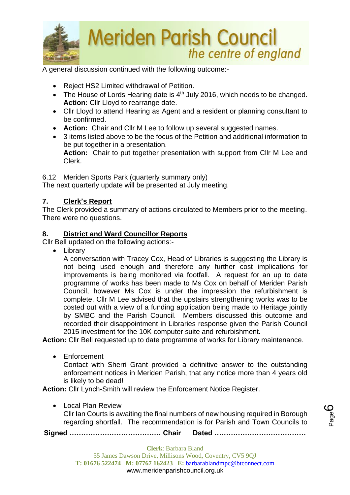

A general discussion continued with the following outcome:-

- Reject HS2 Limited withdrawal of Petition.
- The House of Lords Hearing date is 4<sup>th</sup> July 2016, which needs to be changed. **Action:** Cllr Lloyd to rearrange date.
- Cllr Lloyd to attend Hearing as Agent and a resident or planning consultant to be confirmed.
- **Action:** Chair and Cllr M Lee to follow up several suggested names.
- 3 items listed above to be the focus of the Petition and additional information to be put together in a presentation. **Action:** Chair to put together presentation with support from Cllr M Lee and

6.12 Meriden Sports Park (quarterly summary only)

The next quarterly update will be presented at July meeting.

# **7. Clerk's Report**

Clerk.

The Clerk provided a summary of actions circulated to Members prior to the meeting. There were no questions.

# **8. District and Ward Councillor Reports**

Cllr Bell updated on the following actions:-

• Library

A conversation with Tracey Cox, Head of Libraries is suggesting the Library is not being used enough and therefore any further cost implications for improvements is being monitored via footfall. A request for an up to date programme of works has been made to Ms Cox on behalf of Meriden Parish Council, however Ms Cox is under the impression the refurbishment is complete. Cllr M Lee advised that the upstairs strengthening works was to be costed out with a view of a funding application being made to Heritage jointly by SMBC and the Parish Council. Members discussed this outcome and recorded their disappointment in Libraries response given the Parish Council 2015 investment for the 10K computer suite and refurbishment.

**Action:** Cllr Bell requested up to date programme of works for Library maintenance.

• Enforcement

Contact with Sherri Grant provided a definitive answer to the outstanding enforcement notices in Meriden Parish, that any notice more than 4 years old is likely to be dead!

**Action:** Cllr Lynch-Smith will review the Enforcement Notice Register.

• Local Plan Review

Cllr Ian Courts is awaiting the final numbers of new housing required in Borough regarding shortfall. The recommendation is for Parish and Town Councils to

**Signed ………………………………… Chair Dated …………………………………**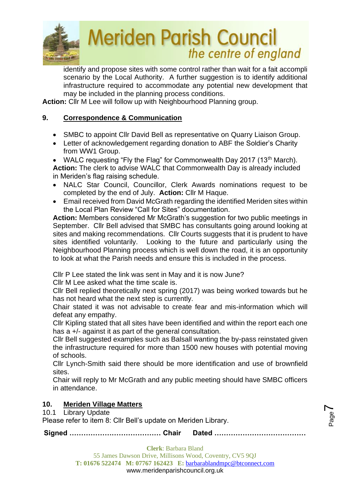

identify and propose sites with some control rather than wait for a fait accompli scenario by the Local Authority. A further suggestion is to identify additional infrastructure required to accommodate any potential new development that may be included in the planning process conditions.

**Action:** Cllr M Lee will follow up with Neighbourhood Planning group.

# **9. Correspondence & Communication**

- SMBC to appoint Cllr David Bell as representative on Quarry Liaison Group.
- Letter of acknowledgement regarding donation to ABF the Soldier's Charity from WW1 Group.

• WALC requesting "Fly the Flag" for Commonwealth Day 2017 (13<sup>th</sup> March). **Action:** The clerk to advise WALC that Commonwealth Day is already included in Meriden's flag raising schedule.

- NALC Star Council, Councillor, Clerk Awards nominations request to be completed by the end of July. **Action:** Cllr M Haque.
- Email received from David McGrath regarding the identified Meriden sites within the Local Plan Review "Call for Sites" documentation.

**Action:** Members considered Mr McGrath's suggestion for two public meetings in September. Cllr Bell advised that SMBC has consultants going around looking at sites and making recommendations. Cllr Courts suggests that it is prudent to have sites identified voluntarily. Looking to the future and particularly using the Neighbourhood Planning process which is well down the road, it is an opportunity to look at what the Parish needs and ensure this is included in the process.

Cllr P Lee stated the link was sent in May and it is now June?

Cllr M Lee asked what the time scale is.

Cllr Bell replied theoretically next spring (2017) was being worked towards but he has not heard what the next step is currently.

Chair stated it was not advisable to create fear and mis-information which will defeat any empathy.

Cllr Kipling stated that all sites have been identified and within the report each one has a +/- against it as part of the general consultation.

Cllr Bell suggested examples such as Balsall wanting the by-pass reinstated given the infrastructure required for more than 1500 new houses with potential moving of schools.

Cllr Lynch-Smith said there should be more identification and use of brownfield sites.

Chair will reply to Mr McGrath and any public meeting should have SMBC officers in attendance.

# **10. Meriden Village Matters**

10.1 Library Update

Please refer to item 8: Cllr Bell's update on Meriden Library.

Page  $\blacktriangleright$ 

**Signed ………………………………… Chair Dated …………………………………**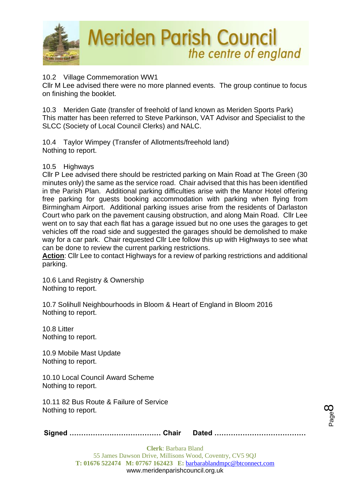

## 10.2 Village Commemoration WW1

Cllr M Lee advised there were no more planned events. The group continue to focus on finishing the booklet.

10.3 Meriden Gate (transfer of freehold of land known as Meriden Sports Park) This matter has been referred to Steve Parkinson, VAT Advisor and Specialist to the SLCC (Society of Local Council Clerks) and NALC.

10.4 Taylor Wimpey (Transfer of Allotments/freehold land) Nothing to report.

### 10.5 Highways

Cllr P Lee advised there should be restricted parking on Main Road at The Green (30 minutes only) the same as the service road. Chair advised that this has been identified in the Parish Plan. Additional parking difficulties arise with the Manor Hotel offering free parking for guests booking accommodation with parking when flying from Birmingham Airport. Additional parking issues arise from the residents of Darlaston Court who park on the pavement causing obstruction, and along Main Road. Cllr Lee went on to say that each flat has a garage issued but no one uses the garages to get vehicles off the road side and suggested the garages should be demolished to make way for a car park. Chair requested Cllr Lee follow this up with Highways to see what can be done to review the current parking restrictions.

**Action**: Cllr Lee to contact Highways for a review of parking restrictions and additional parking.

10.6 Land Registry & Ownership Nothing to report.

10.7 Solihull Neighbourhoods in Bloom & Heart of England in Bloom 2016 Nothing to report.

10.8 Litter Nothing to report.

10.9 Mobile Mast Update Nothing to report.

10.10 Local Council Award Scheme Nothing to report.

10.11 82 Bus Route & Failure of Service Nothing to report.

**Signed ………………………………… Chair Dated …………………………………**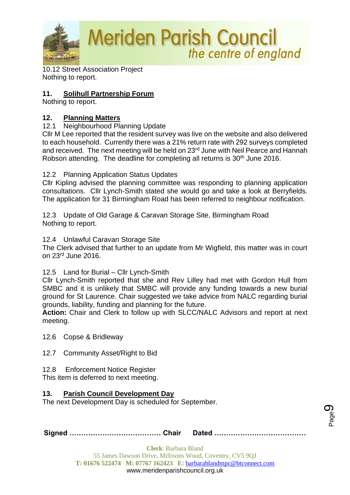

10.12 Street Association Project Nothing to report.

# **11. Solihull Partnership Forum**

Nothing to report.

# **12. Planning Matters**

12.1 Neighbourhood Planning Update

Cllr M Lee reported that the resident survey was live on the website and also delivered to each household. Currently there was a 21% return rate with 292 surveys completed and received. The next meeting will be held on 23rd June with Neil Pearce and Hannah Robson attending. The deadline for completing all returns is 30<sup>th</sup> June 2016.

12.2 Planning Application Status Updates

Cllr Kipling advised the planning committee was responding to planning application consultations. Cllr Lynch-Smith stated she would go and take a look at Berryfields. The application for 31 Birmingham Road has been referred to neighbour notification.

12.3 Update of Old Garage & Caravan Storage Site, Birmingham Road Nothing to report.

12.4 Unlawful Caravan Storage Site

The Clerk advised that further to an update from Mr Wigfield, this matter was in court on 23rd June 2016.

# 12.5 Land for Burial – Cllr Lynch-Smith

Cllr Lynch-Smith reported that she and Rev Lilley had met with Gordon Hull from SMBC and it is unlikely that SMBC will provide any funding towards a new burial ground for St Laurence. Chair suggested we take advice from NALC regarding burial grounds, liability, funding and planning for the future.

**Action:** Chair and Clerk to follow up with SLCC/NALC Advisors and report at next meeting.

12.6 Copse & Bridleway

12.7 Community Asset/Right to Bid

12.8 Enforcement Notice Register

This item is deferred to next meeting.

# **13. Parish Council Development Day**

The next Development Day is scheduled for September.

|--|--|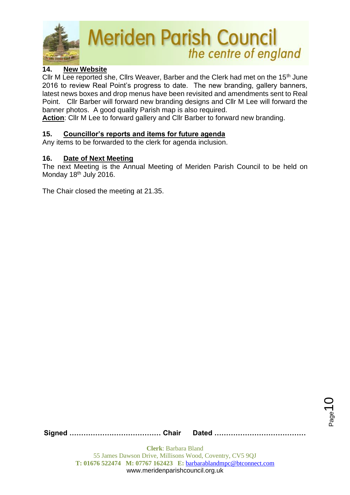

# **14. New Website**

Cllr M Lee reported she, Cllrs Weaver, Barber and the Clerk had met on the 15<sup>th</sup> June 2016 to review Real Point's progress to date. The new branding, gallery banners, latest news boxes and drop menus have been revisited and amendments sent to Real Point. Cllr Barber will forward new branding designs and Cllr M Lee will forward the banner photos. A good quality Parish map is also required.

**Action**: Cllr M Lee to forward gallery and Cllr Barber to forward new branding.

## **15. Councillor's reports and items for future agenda**

Any items to be forwarded to the clerk for agenda inclusion.

#### **16. Date of Next Meeting**

The next Meeting is the Annual Meeting of Meriden Parish Council to be held on Monday 18<sup>th</sup> July 2016.

The Chair closed the meeting at 21.35.

**Signed ………………………………… Chair Dated …………………………………**